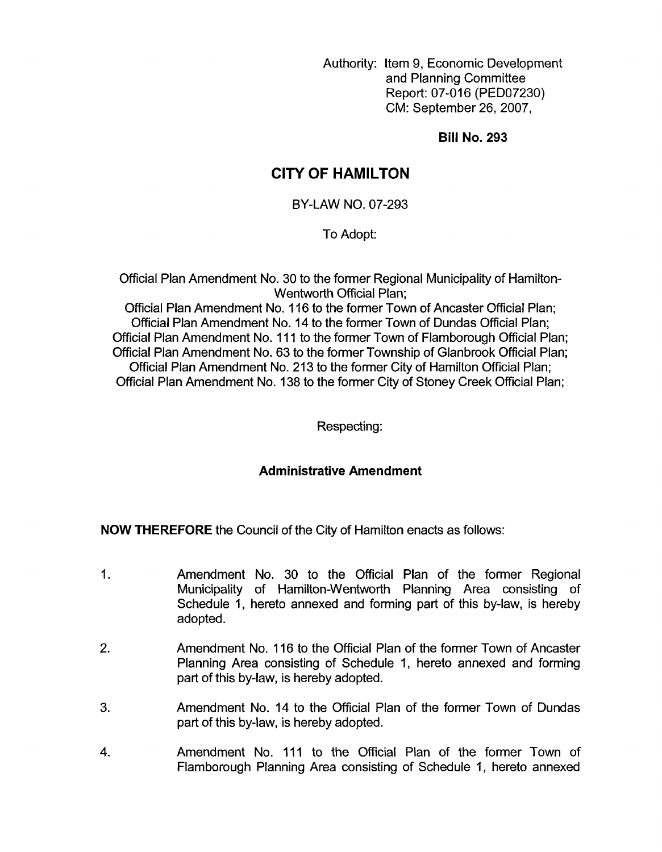Authority: Item 9, Economic Development and Planning Committee Report: 07-016 (PED07230) CM: September 26,2007,

**Bill No. 293** 

# **CITY OF HAMILTON**

BY-LAW NO. 07-293

To Adopt:

Official Plan Amendment No. 30 to the former Regional Municipality of Hamilton-Wentworth Official Plan;

Official Plan Amendment No. 116 to the former Town of Ancaster Official Plan; Official Plan Amendment No. 14 to the former Town of Dundas Official Plan; Official Plan Amendment No. 11 1 to the former Town of Flamborough Official Plan; Official Plan Amendment No. 63 to the former Township of Glanbrook Official Plan; Official Plan Amendment No. 213 to the former City of Hamilton Official Plan; Official Plan Amendment No. 138 to the former City of Stoney Creek Official Plan;

Respecting:

## **Administrative Amendment**

**NOW THEREFORE** the Council of the City of Hamilton enacts as follows:

- 1. Amendment No. 30 to the Official Plan of the former Regional Municipality of Hamilton-Wentworth Planning Area consisting of Schedule 1, hereto annexed and forming part of this by-law, is hereby adopted.
- 2. Amendment No. 116 to the Official Plan of the former Town of Ancaster Planning Area consisting of Schedule 1, hereto annexed and forming part of this by-law, is hereby adopted.
- 3. Amendment No. 14 to the Official Plan of the former Town of Dundas part of this by-law, is hereby adopted.
- 4. Amendment No. 111 to the Official Plan of the former Town of Flamborough Planning Area consisting of Schedule 1, hereto annexed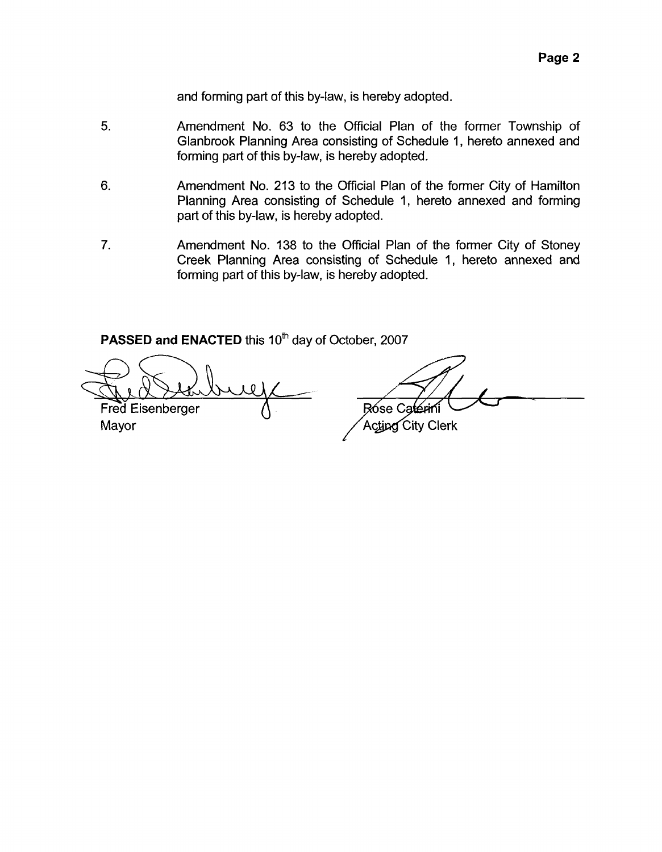and forming part of this by-law, is hereby adopted.

- **5.**  Amendment **No.** 63 to the Official Plan of the former Township of Glanbrook Planning Area consisting of Schedule 1, hereto annexed and forming part of this by-law, is hereby adopted.
- 6. Amendment No. 213 to the Official Plan of the former City of Hamilton Planning Area consisting of Schedule 1, hereto annexed and forming part of this by-law, is hereby adopted.
- 7. Amendment **No.** 138 to the Official Plan of the former City of Stoney Creek Planning Area consisting of Schedule 1, hereto annexed and forming part of this by-law, is hereby adopted.

PASSED and ENACTED this 10<sup>th</sup> day of October, 2007

Fred Eisenberger

Mayor

- Róse Cat

Acting City Clerk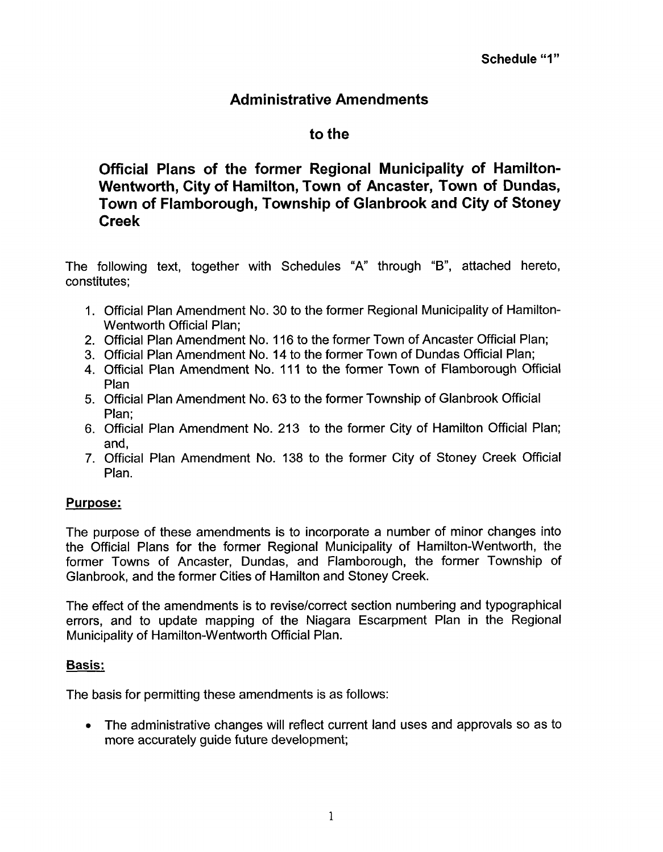# **Administrative Amendments**

# **to the**

**Official Plans of the former Regional Municipality of Hamilton-Wentworth, City of Hamilton, Town of Ancaster, Town of Dundas, Town of Flamborough, Township of Glanbrook and City of Stoney Creek** 

The following text, together with Schedules "A" through "B", attached hereto, constitutes;

- 1. Official Plan Amendment No. 30 to the former Regional Municipality of Hamilton-Wentworth Official Plan;
- 2. Official Plan Amendment No. 116 to the former Town of Ancaster Official Plan;
- 3. Official Plan Amendment No. **14** to the former Town of Dundas Official Plan;
- **4.** Official Plan Amendment No. 111 to the former Town of Flamborough Official Plan
- 5. Official Plan Amendment No. 63 to the former Township of Glanbrook Official Plan;
- 6. Official Plan Amendment No. 213 to the former City of Hamilton Official Plan; and,
- 7. Official Plan Amendment **No.** 138 to the former City of Stoney Creek Official Plan.

## **Purpose:**

The purpose of these amendments is to incorporate a number of minor changes into the Official Plans for the former Regional Municipality of Hamilton-Wentworth, the former Towns of Ancaster, Dundas, and Flamborough, the former Township of Glanbrook, and the former Cities of Hamilton and Stoney Creek.

The effect of the amendments is to revise/correct section numbering and typographical errors, and to update mapping of the Niagara Escarpment Plan in the Regional Municipality of Hamilton-Wentworth Official Plan.

#### **Basis:**

The basis for permitting these amendments is as follows:

*<sup>0</sup>*The administrative changes will reflect current land uses and approvals so as to more accurately guide future development;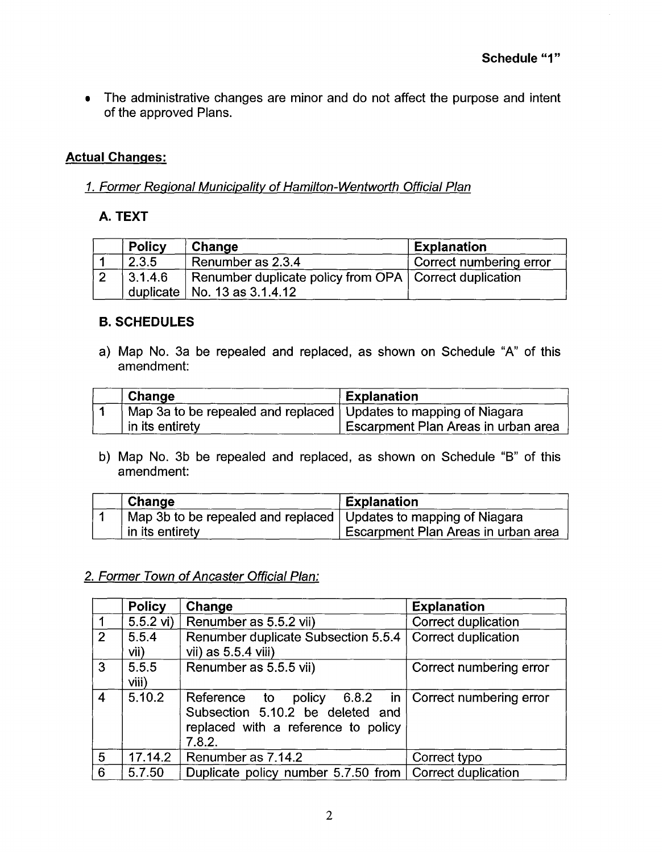The administrative changes are minor and do not affect the purpose and intent  $\bullet$ of the approved Plans.

## **Actual Changes:**

#### *I. Former Regional Municipality of Hamilton- Wentworth Official Plan*

#### **A. TEXT**

| <b>Policy</b> | Change                                                   | <b>Explanation</b>      |
|---------------|----------------------------------------------------------|-------------------------|
| 2.3.5         | Renumber as 2.3.4                                        | Correct numbering error |
| 3.1.4.6       | Renumber duplicate policy from OPA   Correct duplication |                         |
|               | duplicate   No. 13 as $3.1.4.12$                         |                         |

#### **B. SCHEDULES**

a) Map No. 3a be repealed and replaced, as shown on Schedule "A" of this amendment:

| Change                                                             | <b>Explanation</b>                  |
|--------------------------------------------------------------------|-------------------------------------|
| Map 3a to be repealed and replaced   Updates to mapping of Niagara |                                     |
| in its entirety                                                    | Escarpment Plan Areas in urban area |

b) Map No. 3b be repealed and replaced, as shown on Schedule "B" of this amendment:

| Change                                                             | <b>Explanation</b>                  |
|--------------------------------------------------------------------|-------------------------------------|
| Map 3b to be repealed and replaced   Updates to mapping of Niagara |                                     |
| in its entirety                                                    | Escarpment Plan Areas in urban area |

## *2. Former Town of Ancaster Official Plan:*

|                | <b>Policy</b>  | Change                                                                                            | <b>Explanation</b>                        |
|----------------|----------------|---------------------------------------------------------------------------------------------------|-------------------------------------------|
|                | $5.5.2$ vi)    | Renumber as 5.5.2 vii)                                                                            | Correct duplication                       |
| $\overline{2}$ | 5.5.4<br>vii)  | Renumber duplicate Subsection 5.5.4<br>vii) as 5.5.4 viii)                                        | Correct duplication                       |
| 3              | 5.5.5<br>viii) | Renumber as 5.5.5 vii)                                                                            | Correct numbering error                   |
| 4              | 5.10.2         | Reference to<br>Subsection 5.10.2 be deleted and<br>replaced with a reference to policy<br>7.8.2. | policy $6.8.2$ in Correct numbering error |
| 5              | 17.14.2        | Renumber as 7.14.2                                                                                | Correct typo                              |
| 6              | 5.7.50         | Duplicate policy number 5.7.50 from                                                               | <b>Correct duplication</b>                |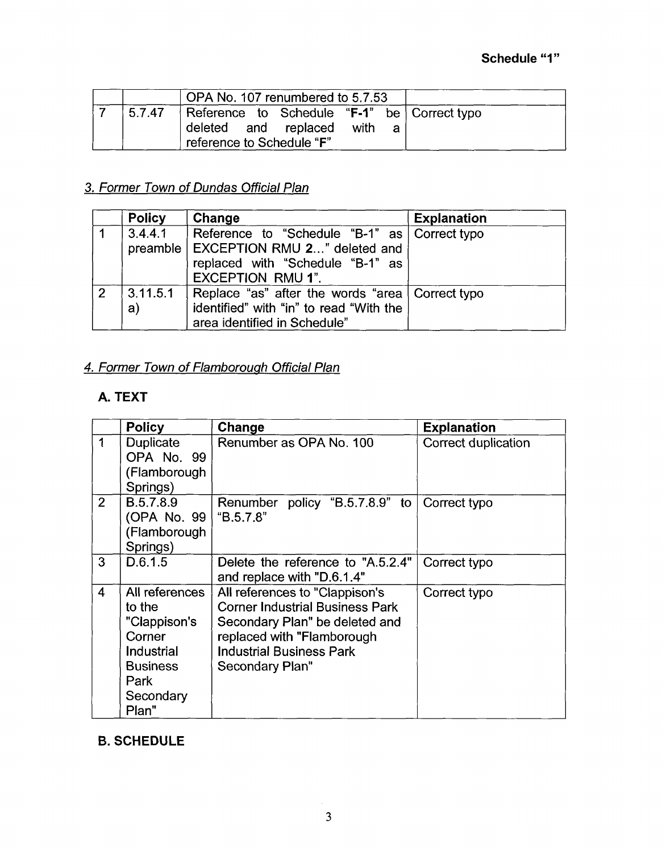|        | OPA No. 107 renumbered to 5.7.53                                                                 |           |  |
|--------|--------------------------------------------------------------------------------------------------|-----------|--|
| 5.7.47 | Reference to Schedule "F-1" be Correct typo<br>deleted and replaced<br>reference to Schedule "F" | with<br>a |  |

# *3. Former Town* of *Dundas Official Plan*

|                | <b>Policy</b>   | Change                                                                                                                                                    | <b>Explanation</b> |
|----------------|-----------------|-----------------------------------------------------------------------------------------------------------------------------------------------------------|--------------------|
|                | 3.4.4.1         | Reference to "Schedule "B-1" as   Correct typo<br>preamble   EXCEPTION RMU 2" deleted and<br>replaced with "Schedule "B-1" as<br><b>EXCEPTION RMU 1".</b> |                    |
| $\overline{2}$ | 3.11.5.1 <br>a) | Replace "as" after the words "area   Correct typo<br>identified" with "in" to read "With the<br>area identified in Schedule"                              |                    |

# *4. Former Town* of *Flamborouah Official Plan*

# **A. TEXT**

|                  | <b>Policy</b>                                                                                                     | Change                                                                                                                                                                                         | <b>Explanation</b>  |
|------------------|-------------------------------------------------------------------------------------------------------------------|------------------------------------------------------------------------------------------------------------------------------------------------------------------------------------------------|---------------------|
| 1                | Duplicate<br>OPA No. 99<br>(Flamborough<br>Springs)                                                               | Renumber as OPA No. 100                                                                                                                                                                        | Correct duplication |
| $\overline{2}$   | B.5.7.8.9<br>(OPA No. 99<br>(Flamborough<br>Springs)                                                              | Renumber policy "B.5.7.8.9" to<br>"B.5.7.8"                                                                                                                                                    | Correct typo        |
| 3                | D.6.1.5                                                                                                           | Delete the reference to "A.5.2.4"<br>and replace with "D.6.1.4"                                                                                                                                | Correct typo        |
| $\boldsymbol{4}$ | All references<br>to the<br>"Clappison's<br>Corner<br>Industrial<br><b>Business</b><br>Park<br>Secondary<br>Plan" | All references to "Clappison's<br><b>Corner Industrial Business Park</b><br>Secondary Plan" be deleted and<br>replaced with "Flamborough<br><b>Industrial Business Park</b><br>Secondary Plan" | Correct typo        |

## **B. SCHEDULE**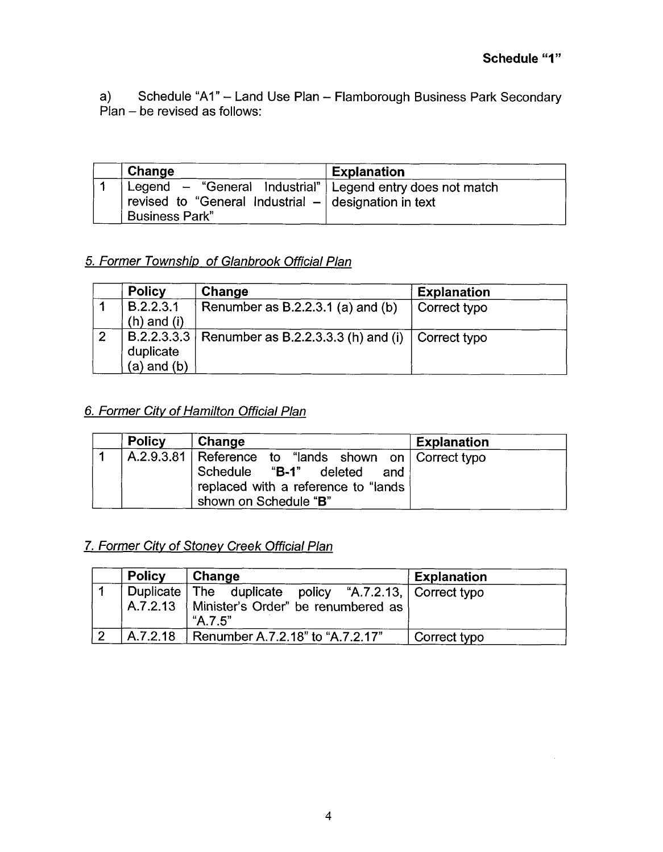a)  $P$ lan – be revised as follows: Schedule "A1" - Land Use Plan - Flamborough Business Park Secondary

| Change                                                                                                                                           | <b>Explanation</b> |
|--------------------------------------------------------------------------------------------------------------------------------------------------|--------------------|
| Legend $-$ "General Industrial"   Legend entry does not match<br>revised to "General Industrial $-$ designation in text<br><b>Business Park"</b> |                    |

## *5. Former Township of Glanbrook Official Plan*

|                | <b>Policy</b>                | Change                                                           | <b>Explanation</b> |
|----------------|------------------------------|------------------------------------------------------------------|--------------------|
|                | B.2.2.3.1<br>$(h)$ and $(i)$ | Renumber as $B.2.2.3.1$ (a) and (b)                              | Correct typo       |
| $\overline{2}$ | duplicate<br>$(a)$ and $(b)$ | B.2.2.3.3.3   Renumber as B.2.2.3.3.3 (h) and (i)   Correct typo |                    |

# *6. Former City of Hamilton Official Plan*

| <b>Policy</b> | Change                                                                                                                                                    | <b>Explanation</b> |
|---------------|-----------------------------------------------------------------------------------------------------------------------------------------------------------|--------------------|
|               | A.2.9.3.81   Reference to "lands shown on   Correct typo<br>Schedule "B-1" deleted<br>and<br>replaced with a reference to "lands<br>shown on Schedule "B" |                    |

## *7. Former City of Stoney Creek Official Plan*

| <b>Policy</b> | Change                                                                                                            | <b>Explanation</b> |
|---------------|-------------------------------------------------------------------------------------------------------------------|--------------------|
|               | Duplicate The duplicate policy "A.7.2.13, Correct typo<br>A.7.2.13   Minister's Order" be renumbered as<br>4.7.5" |                    |
| A.7.2.18      | Renumber A.7.2.18" to "A.7.2.17"                                                                                  | Correct typo       |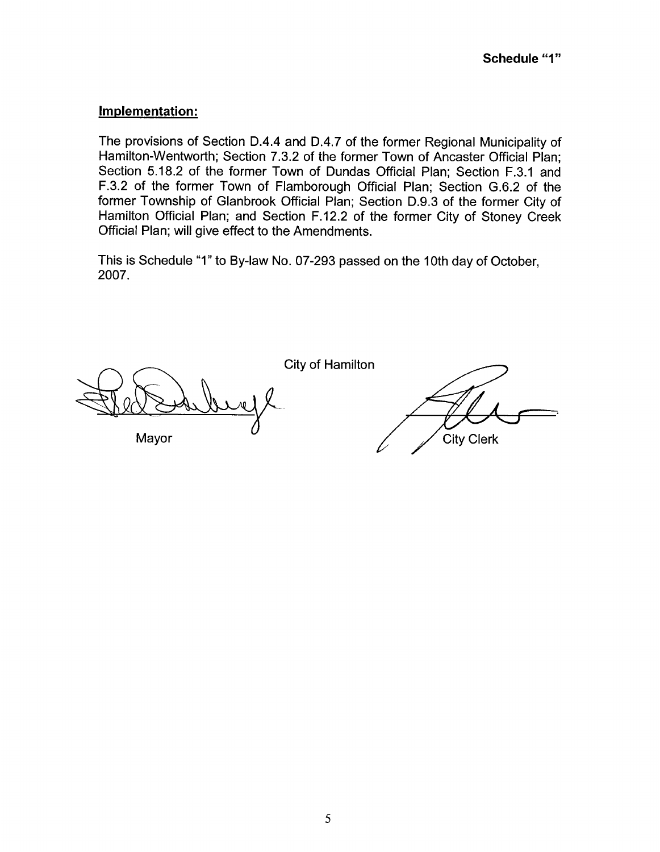### **Implementation:**

The provisions of Section D.4.4 and D.4.7 of the former Regional Municipality of Hamilton-Wentworth; Section 7.3.2 of the former Town of Ancaster Official Plan; Section 5.18.2 of the former Town of Dundas Official Plan; Section F.3.1 and F.3.2 of the former Town of Flamborough Official Plan; Section G.6.2 of the former Township of Glanbrook Official Plan; Section D.9.3 of the former City of Hamilton Official Plan; and Section F.12.2 of the former City of Stoney Creek Official Plan; will give effect to the Amendments.

This is Schedule "1" to By-law No. 07-293 passed on the 10th day of October, 2007.

Mayor

City of Hamilton

**City Clerk**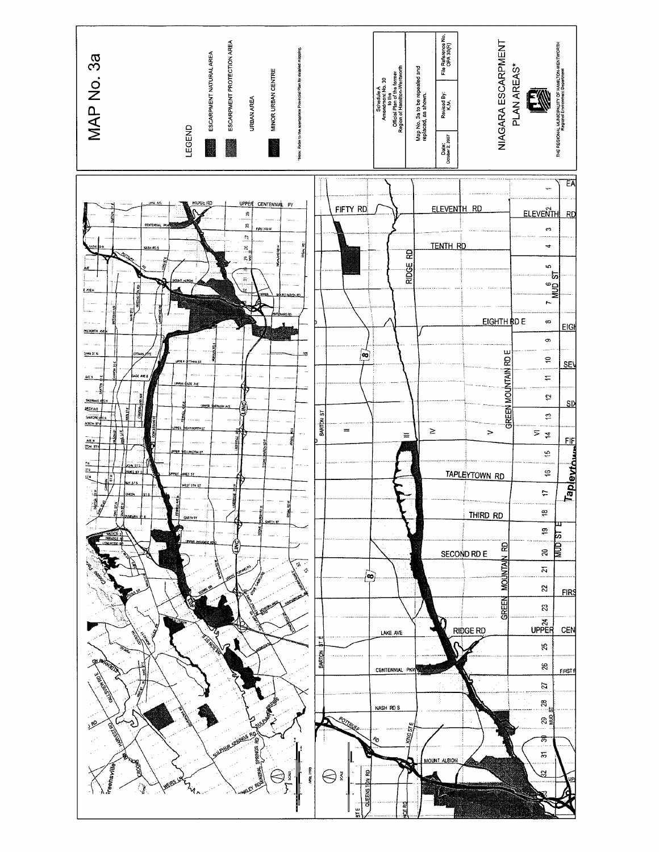